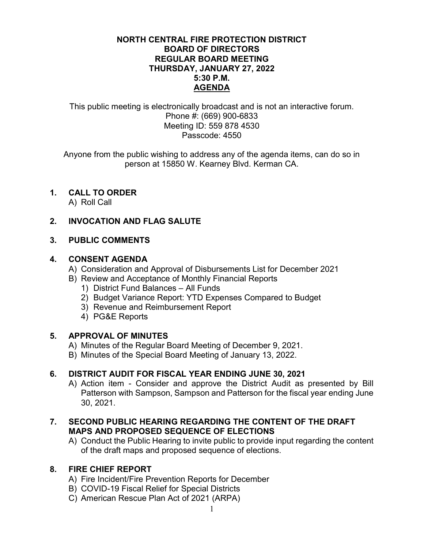#### NORTH CENTRAL FIRE PROTECTION DISTRICT BOARD OF DIRECTORS REGULAR BOARD MEETING THURSDAY, JANUARY 27, 2022 5:30 P.M. AGENDA

This public meeting is electronically broadcast and is not an interactive forum. Phone #: (669) 900-6833 Meeting ID: 559 878 4530 Passcode: 4550

Anyone from the public wishing to address any of the agenda items, can do so in person at 15850 W. Kearney Blvd. Kerman CA.

# 1. CALL TO ORDER

A) Roll Call

### 2. INVOCATION AND FLAG SALUTE

#### 3. PUBLIC COMMENTS

#### 4. CONSENT AGENDA

- A) Consideration and Approval of Disbursements List for December 2021
- B) Review and Acceptance of Monthly Financial Reports
	- 1) District Fund Balances All Funds
	- 2) Budget Variance Report: YTD Expenses Compared to Budget
	- 3) Revenue and Reimbursement Report
	- 4) PG&E Reports

## 5. APPROVAL OF MINUTES

- A) Minutes of the Regular Board Meeting of December 9, 2021.
- B) Minutes of the Special Board Meeting of January 13, 2022.

## 6. DISTRICT AUDIT FOR FISCAL YEAR ENDING JUNE 30, 2021

A) Action item - Consider and approve the District Audit as presented by Bill Patterson with Sampson, Sampson and Patterson for the fiscal year ending June 30, 2021.

### 7. SECOND PUBLIC HEARING REGARDING THE CONTENT OF THE DRAFT MAPS AND PROPOSED SEQUENCE OF ELECTIONS

A) Conduct the Public Hearing to invite public to provide input regarding the content of the draft maps and proposed sequence of elections.

#### 8. FIRE CHIEF REPORT

- A) Fire Incident/Fire Prevention Reports for December
- B) COVID-19 Fiscal Relief for Special Districts
- C) American Rescue Plan Act of 2021 (ARPA)